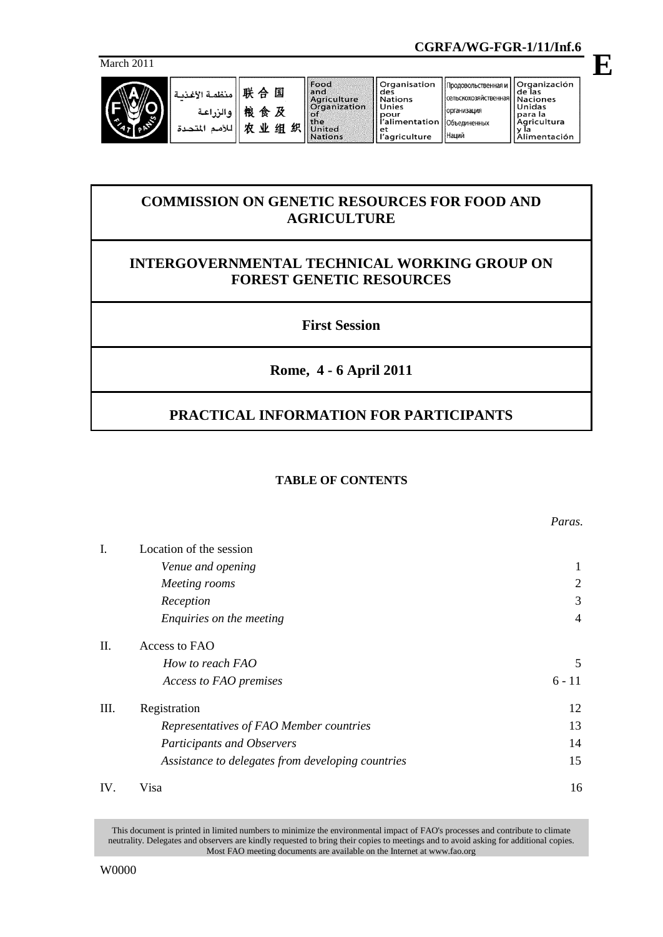организация

Наций

March 2011



联合国 منظمة الأغذسة 粮食及 والزراعة 农业组织 للأمم المتحدة

# **COMMISSION ON GENETIC RESOURCES FOR FOOD AND AGRICULTURE**

# **INTERGOVERNMENTAL TECHNICAL WORKING GROUP ON FOREST GENETIC RESOURCES**

**First Session**

**Rome, 4 - 6 April 2011**

# **PRACTICAL INFORMATION FOR PARTICIPANTS**

# **TABLE OF CONTENTS**

| I.   | Location of the session                           |                |  |  |  |
|------|---------------------------------------------------|----------------|--|--|--|
|      | Venue and opening                                 | 1              |  |  |  |
|      | Meeting rooms                                     | 2              |  |  |  |
|      | Reception                                         | 3              |  |  |  |
|      | Enquiries on the meeting                          | $\overline{4}$ |  |  |  |
| П.   | Access to FAO                                     |                |  |  |  |
|      | How to reach FAO                                  | 5              |  |  |  |
|      | Access to FAO premises                            | $6 - 11$       |  |  |  |
| III. | Registration                                      | 12             |  |  |  |
|      | Representatives of FAO Member countries           | 13             |  |  |  |
|      | <b>Participants and Observers</b>                 | 14             |  |  |  |
|      | Assistance to delegates from developing countries | 15             |  |  |  |
| IV.  | Visa                                              | 16             |  |  |  |

This document is printed in limited numbers to minimize the environmental impact of FAO's processes and contribute to climate neutrality. Delegates and observers are kindly requested to bring their copies to meetings and to avoid asking for additional copies. Most FAO meeting documents are available on the Internet at www.fao.org

**E**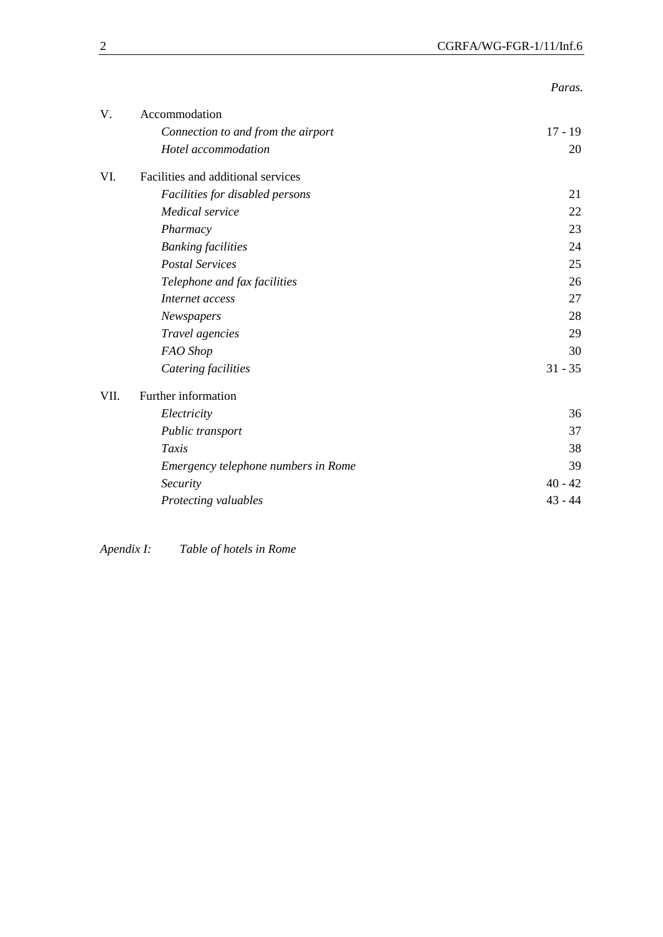| V.   | Accommodation                       |           |  |  |  |
|------|-------------------------------------|-----------|--|--|--|
|      | Connection to and from the airport  | $17 - 19$ |  |  |  |
|      | Hotel accommodation                 | 20        |  |  |  |
| VI.  | Facilities and additional services  |           |  |  |  |
|      | Facilities for disabled persons     | 21        |  |  |  |
|      | Medical service                     | 22        |  |  |  |
|      | Pharmacy                            | 23        |  |  |  |
|      | <b>Banking facilities</b>           | 24        |  |  |  |
|      | <b>Postal Services</b>              | 25        |  |  |  |
|      | Telephone and fax facilities        | 26        |  |  |  |
|      | Internet access                     | 27        |  |  |  |
|      | Newspapers                          | 28        |  |  |  |
|      | Travel agencies                     | 29        |  |  |  |
|      | FAO Shop                            | 30        |  |  |  |
|      | Catering facilities                 | $31 - 35$ |  |  |  |
| VII. | Further information                 |           |  |  |  |
|      | Electricity                         | 36        |  |  |  |
|      | Public transport                    | 37        |  |  |  |
|      | Taxis                               | 38        |  |  |  |
|      | Emergency telephone numbers in Rome | 39        |  |  |  |
|      | Security                            | $40 - 42$ |  |  |  |
|      | Protecting valuables                | $43 - 44$ |  |  |  |

*Apendix I: Table of hotels in Rome*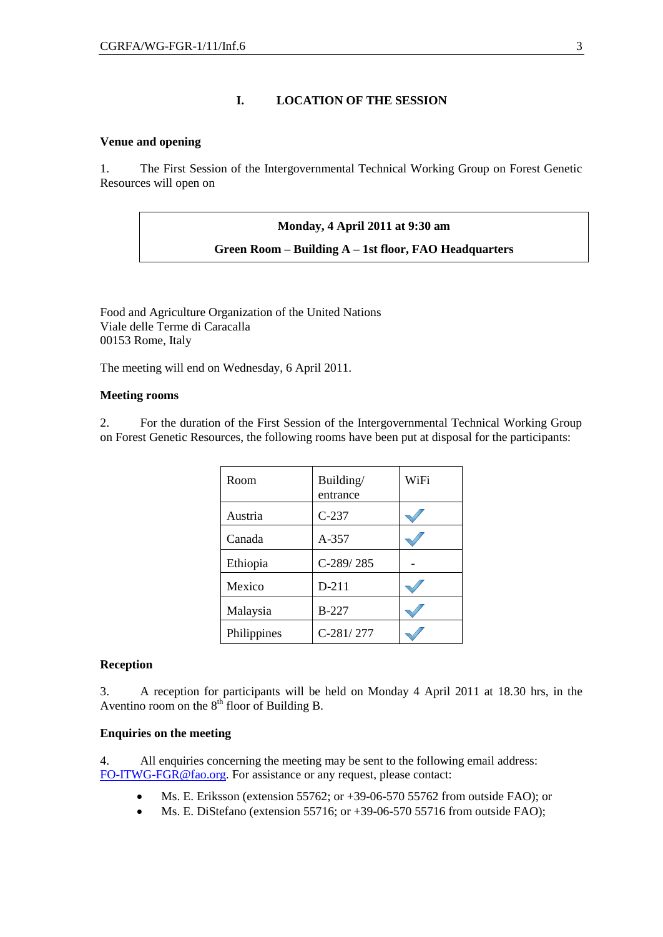# **I. LOCATION OF THE SESSION**

#### **Venue and opening**

1. The First Session of the Intergovernmental Technical Working Group on Forest Genetic Resources will open on

# **Monday, 4 April 2011 at 9:30 am Green Room – Building A – 1st floor, FAO Headquarters**

Food and Agriculture Organization of the United Nations Viale delle Terme di Caracalla 00153 Rome, Italy

The meeting will end on Wednesday, 6 April 2011.

#### **Meeting rooms**

2. For the duration of the First Session of the Intergovernmental Technical Working Group on Forest Genetic Resources, the following rooms have been put at disposal for the participants:

| Room        | Building/<br>entrance | WiFi |
|-------------|-----------------------|------|
| Austria     | $C-237$               |      |
| Canada      | A-357                 |      |
| Ethiopia    | $C-289/285$           |      |
| Mexico      | $D-211$               |      |
| Malaysia    | $B-227$               |      |
| Philippines | C-281/277             |      |

### **Reception**

3. A reception for participants will be held on Monday 4 April 2011 at 18.30 hrs, in the Aventino room on the  $8<sup>th</sup>$  floor of Building B.

#### **Enquiries on the meeting**

4. All enquiries concerning the meeting may be sent to the following email address: [FO-ITWG-FGR@fao.org.](mailto:FO-ITWG-FGR@fao.org) For assistance or any request, please contact:

- Ms. E. Eriksson (extension 55762; or +39-06-570 55762 from outside FAO); or
- Ms. E. DiStefano (extension 55716; or +39-06-570 55716 from outside FAO);  $\bullet$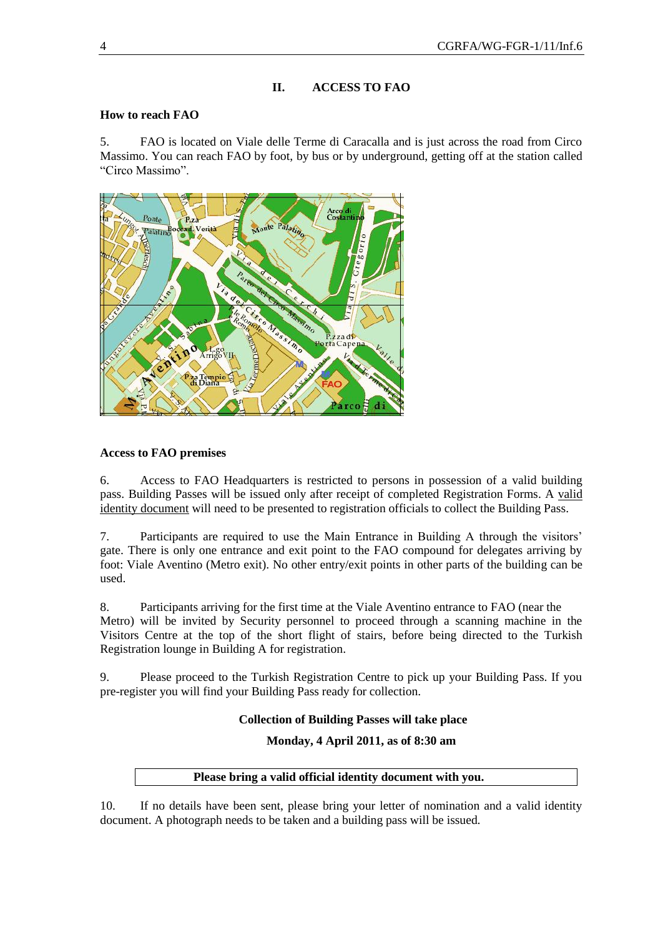# **II. ACCESS TO FAO**

# **How to reach FAO**

5. FAO is located on Viale delle Terme di Caracalla and is just across the road from Circo Massimo. You can reach FAO by foot, by bus or by underground, getting off at the station called "Circo Massimo".



# **Access to FAO premises**

6. Access to FAO Headquarters is restricted to persons in possession of a valid building pass. Building Passes will be issued only after receipt of completed [Registration Forms.](http://foris.fao.org/preview/25310-0e754dd0b50e08278c6634decfd76b5e1.doc) A valid identity document will need to be presented to registration officials to collect the Building Pass.

7. Participants are required to use the Main Entrance in Building A through the visitors' gate. There is only one entrance and exit point to the FAO compound for delegates arriving by foot: Viale Aventino (Metro exit). No other entry/exit points in other parts of the building can be used.

8. Participants arriving for the first time at the Viale Aventino entrance to FAO (near the Metro) will be invited by Security personnel to proceed through a scanning machine in the Visitors Centre at the top of the short flight of stairs, before being directed to the Turkish Registration lounge in Building A for registration.

9. Please proceed to the Turkish Registration Centre to pick up your Building Pass. If you pre-register you will find your Building Pass ready for collection.

# **Collection of Building Passes will take place**

# **Monday, 4 April 2011, as of 8:30 am**

# **Please bring a valid official identity document with you.**

10. If no details have been sent, please bring your letter of nomination and a valid identity document. A photograph needs to be taken and a building pass will be issued.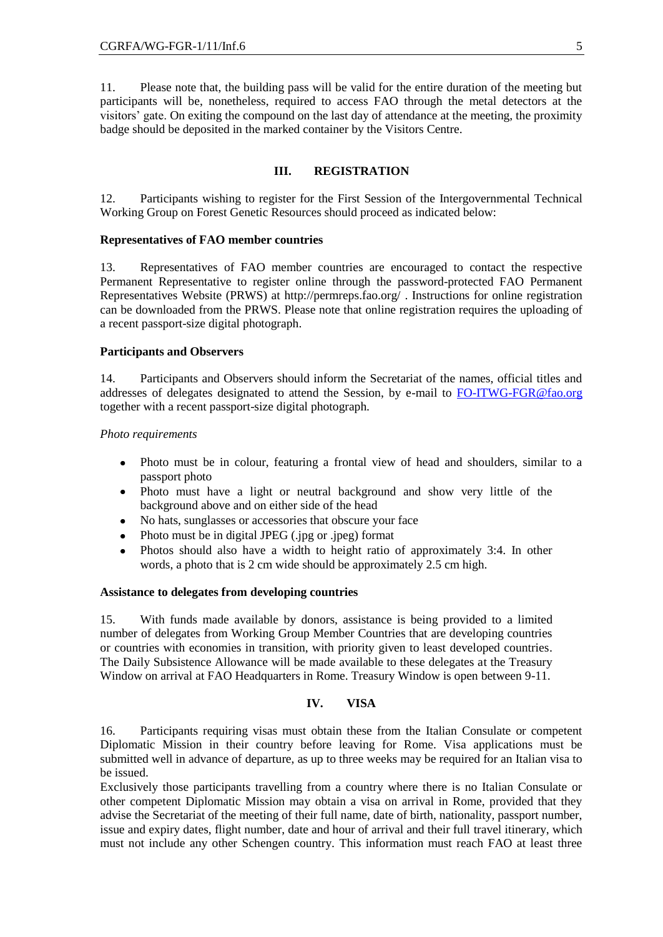11. Please note that, the building pass will be valid for the entire duration of the meeting but participants will be, nonetheless, required to access FAO through the metal detectors at the visitors' gate. On exiting the compound on the last day of attendance at the meeting, the proximity badge should be deposited in the marked container by the Visitors Centre.

#### **III. REGISTRATION**

12. Participants wishing to register for the First Session of the Intergovernmental Technical Working Group on Forest Genetic Resources should proceed as indicated below:

#### **Representatives of FAO member countries**

13. Representatives of FAO member countries are encouraged to contact the respective Permanent Representative to register online through the password-protected FAO Permanent Representatives Website (PRWS) at<http://permreps.fao.org/> . Instructions for online registration can be downloaded from the PRWS. Please note that online registration requires the uploading of a recent passport-size digital photograph.

## **Participants and Observers**

14. Participants and Observers should inform the Secretariat of the names, official titles and addresses of delegates designated to attend the Session, by e-mail to [FO-ITWG-FGR@fao.org](mailto:FO-ITWG-FGR@fao.org) together with a recent passport-size digital photograph.

#### *Photo requirements*

- Photo must be in colour, featuring a frontal view of head and shoulders, similar to a  $\bullet$ passport photo
- Photo must have a light or neutral background and show very little of the  $\bullet$ background above and on either side of the head
- No hats, sunglasses or accessories that obscure your face  $\bullet$
- Photo must be in digital JPEG (.jpg or .jpeg) format
- Photos should also have a width to height ratio of approximately 3:4. In other words, a photo that is 2 cm wide should be approximately 2.5 cm high.

#### **Assistance to delegates from developing countries**

15. With funds made available by donors, assistance is being provided to a limited number of delegates from Working Group Member Countries that are developing countries or countries with economies in transition, with priority given to least developed countries. The Daily Subsistence Allowance will be made available to these delegates at the Treasury Window on arrival at FAO Headquarters in Rome. Treasury Window is open between 9-11.

# **IV. VISA**

16. Participants requiring visas must obtain these from the Italian Consulate or competent Diplomatic Mission in their country before leaving for Rome. Visa applications must be submitted well in advance of departure, as up to three weeks may be required for an Italian visa to be issued.

Exclusively those participants travelling from a country where there is no Italian Consulate or other competent Diplomatic Mission may obtain a visa on arrival in Rome, provided that they advise the Secretariat of the meeting of their full name, date of birth, nationality, passport number, issue and expiry dates, flight number, date and hour of arrival and their full travel itinerary, which must not include any other Schengen country. This information must reach FAO at least three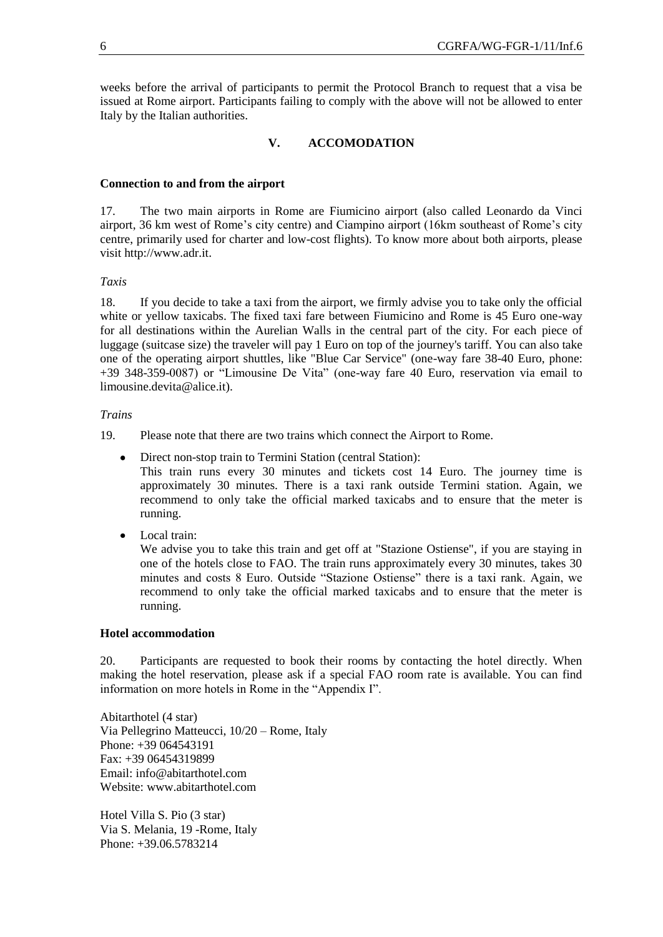weeks before the arrival of participants to permit the Protocol Branch to request that a visa be issued at Rome airport. Participants failing to comply with the above will not be allowed to enter Italy by the Italian authorities.

# **V. ACCOMODATION**

#### **Connection to and from the airport**

17. The two main airports in Rome are Fiumicino airport (also called Leonardo da Vinci airport, 36 km west of Rome's city centre) and Ciampino airport (16km southeast of Rome's city centre, primarily used for charter and low-cost flights). To know more about both airports, please visi[t http://www.adr.it.](http://www.adr.it/)

#### *Taxis*

18. If you decide to take a taxi from the airport, we firmly advise you to take only the official white or yellow taxicabs. The fixed taxi fare between Fiumicino and Rome is 45 Euro one-way for all destinations within the Aurelian Walls in the central part of the city. For each piece of luggage (suitcase size) the traveler will pay 1 Euro on top of the journey's tariff. You can also take one of the operating airport shuttles, like "Blue Car Service" (one-way fare 38-40 Euro, phone: +39 348-359-0087) or "Limousine De Vita" (one-way fare 40 Euro, reservation via email to [limousine.devita@alice.it\)](mailto:limousine.devita%40alice.it).

#### *Trains*

- 19. Please note that there are two trains which connect the Airport to Rome.
	- Direct non-stop train to Termini Station (central Station):  $\bullet$

This train runs every 30 minutes and tickets cost 14 Euro. The journey time is approximately 30 minutes. There is a taxi rank outside Termini station. Again, we recommend to only take the official marked taxicabs and to ensure that the meter is running.

Local train:  $\bullet$ 

> We advise you to take this train and get off at "Stazione Ostiense", if you are staying in one of the hotels close to FAO. The train runs approximately every 30 minutes, takes 30 minutes and costs 8 Euro. Outside "Stazione Ostiense" there is a taxi rank. Again, we recommend to only take the official marked taxicabs and to ensure that the meter is running.

#### **Hotel accommodation**

20. Participants are requested to book their rooms by contacting the hotel directly. When making the hotel reservation, please ask if a special FAO room rate is available. You can find information on more hotels in Rome in the "Appendix I".

Abitarthotel (4 star) Via Pellegrino Matteucci, 10/20 – Rome, Italy Phone: +39 064543191 Fax: +39 06454319899 Email: [info@abitarthotel.com](mailto:info@abitarthotel.com) Website: [www.abitarthotel.com](http://www.abitarthotel.com/)

Hotel Villa S. Pio (3 star) Via S. Melania, 19 -Rome, Italy Phone: +39.06.5783214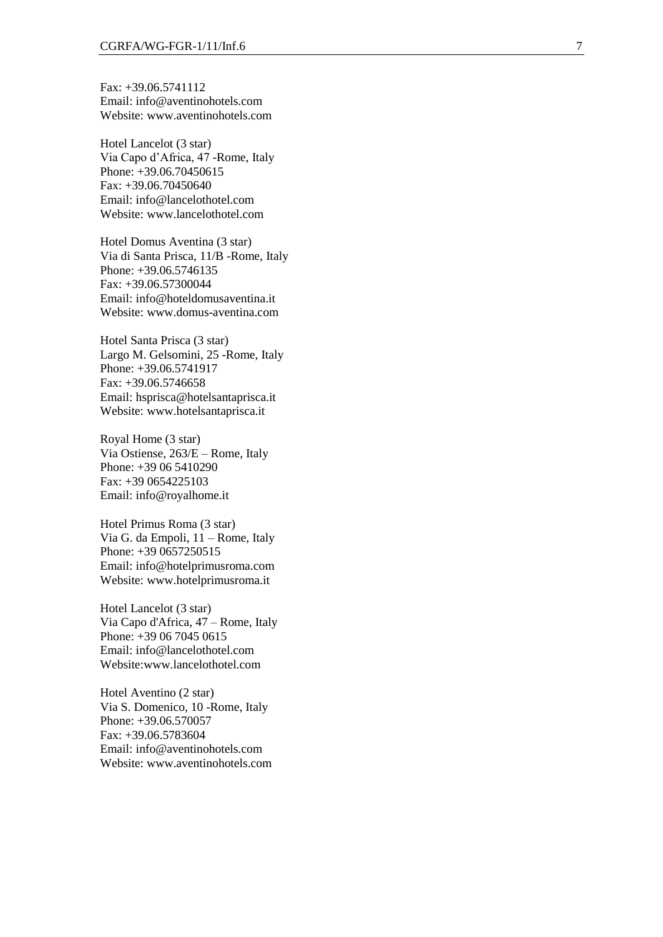Fax: +39.06.5741112 Email: [info@aventinohotels.com](mailto:info@aventinohotels.com) Website: [www.aventinohotels.com](http://www.aventinohotels.com/)

Hotel Lancelot (3 star) Via Capo d'Africa, 47 -Rome, Italy Phone: +39.06.70450615 Fax: +39.06.70450640 Email: [info@lancelothotel.com](mailto:info@lancelothotel.com) Website: [www.lancelothotel.com](http://www.lancelothotel.com/)

Hotel Domus Aventina (3 star) Via di Santa Prisca, 11/B -Rome, Italy Phone: +39.06.5746135 Fax: +39.06.57300044 Email: [info@hoteldomusaventina.it](mailto:info@hoteldomusaventina.it) Website: www.domus [-aventina.com](http://www.domus-aventina.com/)

Hotel Santa Prisca (3 star) Largo M. Gelsomini, 25 -Rome, Italy Phone: +39.06.5741917 Fax: +39.06.5746658 Email: [hsprisca@hotelsantaprisca.it](mailto:hsprisca@hotelsantaprisca.it) Website: [www.hotelsantaprisca.it](http://www.hotelsantaprisca.it/)

Royal Home (3 star) Via Ostiense, 263/E – Rome, Italy Phone: +39 06 5410290 Fax: +39 0654225103 Email: info@royalhome.it

Hotel Primus Roma (3 star) Via G. da Empoli, 11 – Rome, Italy Phone: +39 0657250515 Email: [info@hotelprimusroma.com](mailto:info@hotelprimusroma.com) Website: [www.hotelprimusroma.it](http://www.hotelprimusroma.it/)

Hotel Lancelot (3 star) Via Capo d'Africa, 47 – Rome, Italy Phone: +39 06 7045 0615 Email: [info@lancelothotel.com](mailto:info@lancelothotel.com) Website:www.lancelothotel.com

Hotel Aventino (2 star) Via S. Domenico, 10 -Rome, Italy Phone: +39.06.570057 Fax: +39.06.5783604 Email: [info@aventinohotels.com](mailto:info@aventinohotels.com) Website: www.aventinohotels.com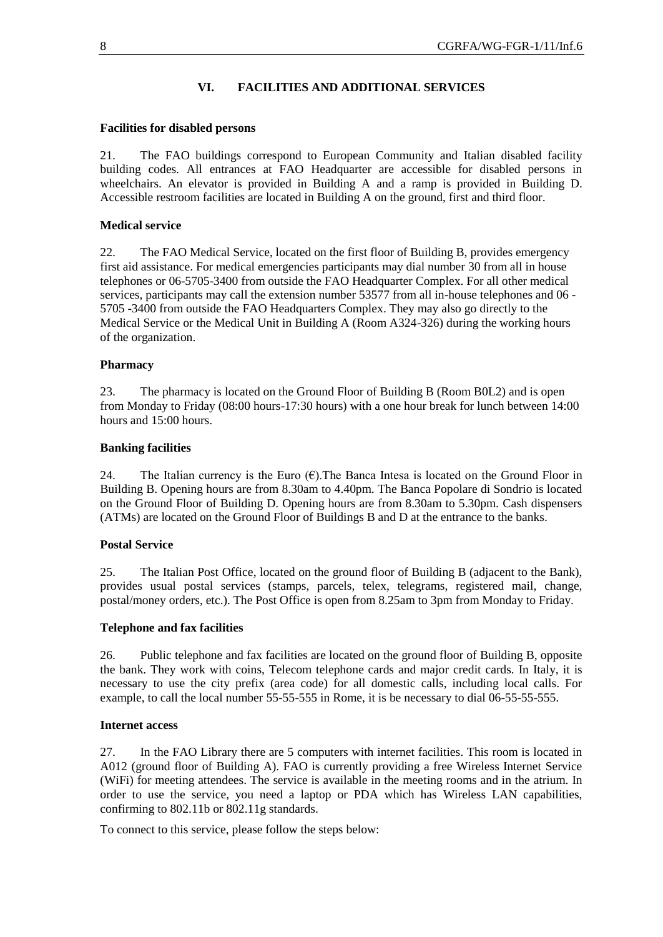# **VI. FACILITIES AND ADDITIONAL SERVICES**

#### **Facilities for disabled persons**

21. The FAO buildings correspond to European Community and Italian disabled facility building codes. All entrances at FAO Headquarter are accessible for disabled persons in wheelchairs. An elevator is provided in Building A and a ramp is provided in Building D. Accessible restroom facilities are located in Building A on the ground, first and third floor.

#### **Medical service**

22. The FAO Medical Service, located on the first floor of Building B, provides emergency first aid assistance. For medical emergencies participants may dial number 30 from all in house telephones or 06-5705-3400 from outside the FAO Headquarter Complex. For all other medical services, participants may call the extension number 53577 from all in-house telephones and 06 - 5705 -3400 from outside the FAO Headquarters Complex. They may also go directly to the Medical Service or the Medical Unit in Building A (Room A324-326) during the working hours of the organization.

#### **Pharmacy**

23. The pharmacy is located on the Ground Floor of Building B (Room B0L2) and is open from Monday to Friday (08:00 hours-17:30 hours) with a one hour break for lunch between 14:00 hours and 15:00 hours.

# **Banking facilities**

24. The Italian currency is the Euro  $(\epsilon)$ . The Banca Intesa is located on the Ground Floor in Building B. Opening hours are from 8.30am to 4.40pm. The Banca Popolare di Sondrio is located on the Ground Floor of Building D. Opening hours are from 8.30am to 5.30pm. Cash dispensers (ATMs) are located on the Ground Floor of Buildings B and D at the entrance to the banks.

#### **Postal Service**

25. The Italian Post Office, located on the ground floor of Building B (adjacent to the Bank), provides usual postal services (stamps, parcels, telex, telegrams, registered mail, change, postal/money orders, etc.). The Post Office is open from 8.25am to 3pm from Monday to Friday.

#### **Telephone and fax facilities**

26. Public telephone and fax facilities are located on the ground floor of Building B, opposite the bank. They work with coins, Telecom telephone cards and major credit cards. In Italy, it is necessary to use the city prefix (area code) for all domestic calls, including local calls. For example, to call the local number 55-55-555 in Rome, it is be necessary to dial 06-55-55-555.

#### **Internet access**

27. In the FAO Library there are 5 computers with internet facilities. This room is located in A012 (ground floor of Building A). FAO is currently providing a free Wireless Internet Service (WiFi) for meeting attendees. The service is available in the meeting rooms and in the atrium. In order to use the service, you need a laptop or PDA which has Wireless LAN capabilities, confirming to 802.11b or 802.11g standards.

To connect to this service, please follow the steps below: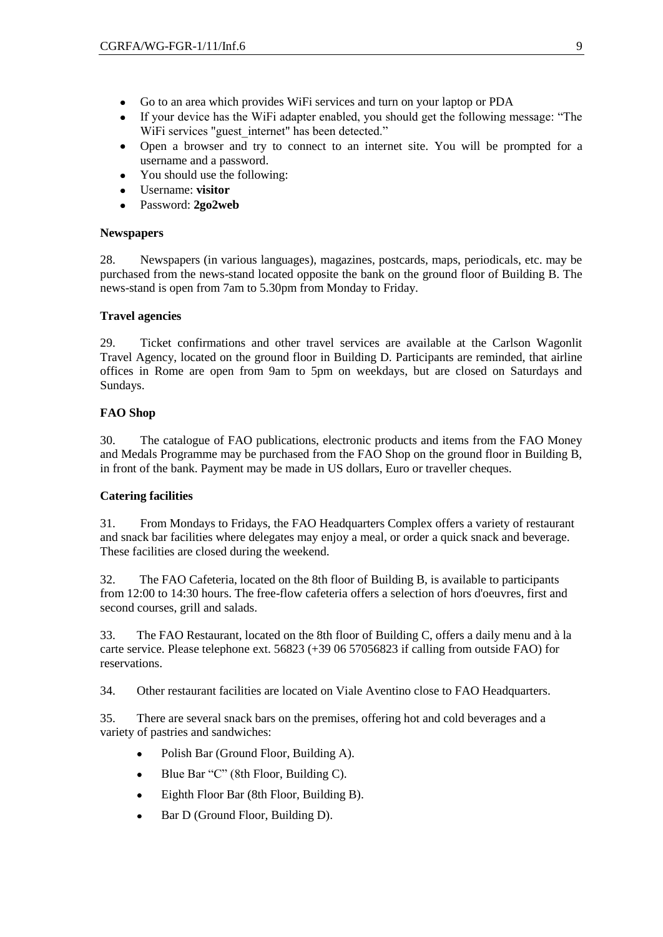- Go to an area which provides WiFi services and turn on your laptop or PDA
- If your device has the WiFi adapter enabled, you should get the following message: "The WiFi services "guest internet" has been detected."
- Open a browser and try to connect to an internet site. You will be prompted for a username and a password.
- You should use the following:
- Username: **visitor**
- Password: **2go2web**

# **Newspapers**

28. Newspapers (in various languages), magazines, postcards, maps, periodicals, etc. may be purchased from the news-stand located opposite the bank on the ground floor of Building B. The news-stand is open from 7am to 5.30pm from Monday to Friday.

# **Travel agencies**

29. Ticket confirmations and other travel services are available at the Carlson Wagonlit Travel Agency, located on the ground floor in Building D. Participants are reminded, that airline offices in Rome are open from 9am to 5pm on weekdays, but are closed on Saturdays and Sundays.

# **FAO Shop**

30. The catalogue of FAO publications, electronic products and items from the FAO Money and Medals Programme may be purchased from the FAO Shop on the ground floor in Building B, in front of the bank. Payment may be made in US dollars, Euro or traveller cheques.

# **Catering facilities**

31. From Mondays to Fridays, the FAO Headquarters Complex offers a variety of restaurant and snack bar facilities where delegates may enjoy a meal, or order a quick snack and beverage. These facilities are closed during the weekend.

32. The FAO Cafeteria, located on the 8th floor of Building B, is available to participants from 12:00 to 14:30 hours. The free-flow cafeteria offers a selection of hors d'oeuvres, first and second courses, grill and salads.

33. The FAO Restaurant, located on the 8th floor of Building C, offers a daily menu and à la carte service. Please telephone ext. 56823 (+39 06 57056823 if calling from outside FAO) for reservations.

34. Other restaurant facilities are located on Viale Aventino close to FAO Headquarters.

35. There are several snack bars on the premises, offering hot and cold beverages and a variety of pastries and sandwiches:

- $\bullet$ Polish Bar (Ground Floor, Building A).
- Blue Bar "C" (8th Floor, Building C).  $\bullet$
- Eighth Floor Bar (8th Floor, Building B).  $\bullet$
- Bar D (Ground Floor, Building D). $\bullet$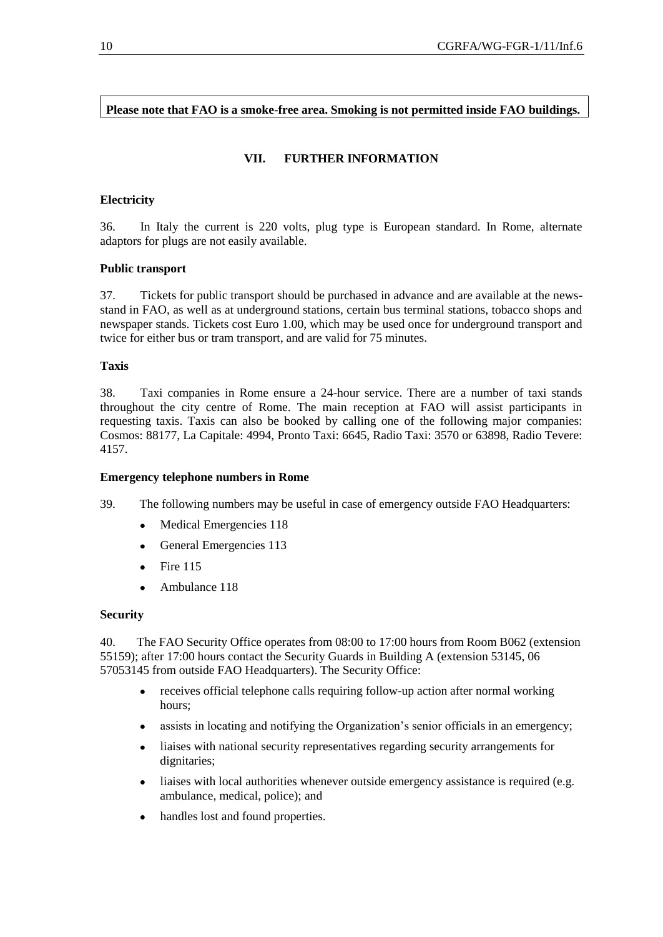# **Please note that FAO is a smoke-free area. Smoking is not permitted inside FAO buildings.**

# **VII. FURTHER INFORMATION**

# **Electricity**

36. In Italy the current is 220 volts, plug type is European standard. In Rome, alternate adaptors for plugs are not easily available.

## **Public transport**

37. Tickets for public transport should be purchased in advance and are available at the newsstand in FAO, as well as at underground stations, certain bus terminal stations, tobacco shops and newspaper stands. Tickets cost Euro 1.00, which may be used once for underground transport and twice for either bus or tram transport, and are valid for 75 minutes.

#### **Taxis**

38. Taxi companies in Rome ensure a 24-hour service. There are a number of taxi stands throughout the city centre of Rome. The main reception at FAO will assist participants in requesting taxis. Taxis can also be booked by calling one of the following major companies: Cosmos: 88177, La Capitale: 4994, Pronto Taxi: 6645, Radio Taxi: 3570 or 63898, Radio Tevere: 4157.

#### **Emergency telephone numbers in Rome**

39. The following numbers may be useful in case of emergency outside FAO Headquarters:

- Medical Emergencies 118  $\bullet$
- General Emergencies 113  $\bullet$
- Fire 115  $\bullet$
- Ambulance 118

#### **Security**

40. The FAO Security Office operates from 08:00 to 17:00 hours from Room B062 (extension 55159); after 17:00 hours contact the Security Guards in Building A (extension 53145, 06 57053145 from outside FAO Headquarters). The Security Office:

- receives official telephone calls requiring follow-up action after normal working  $\bullet$ hours;
- assists in locating and notifying the Organization's senior officials in an emergency;
- $\bullet$ liaises with national security representatives regarding security arrangements for dignitaries;
- liaises with local authorities whenever outside emergency assistance is required (e.g.  $\bullet$ ambulance, medical, police); and
- handles lost and found properties.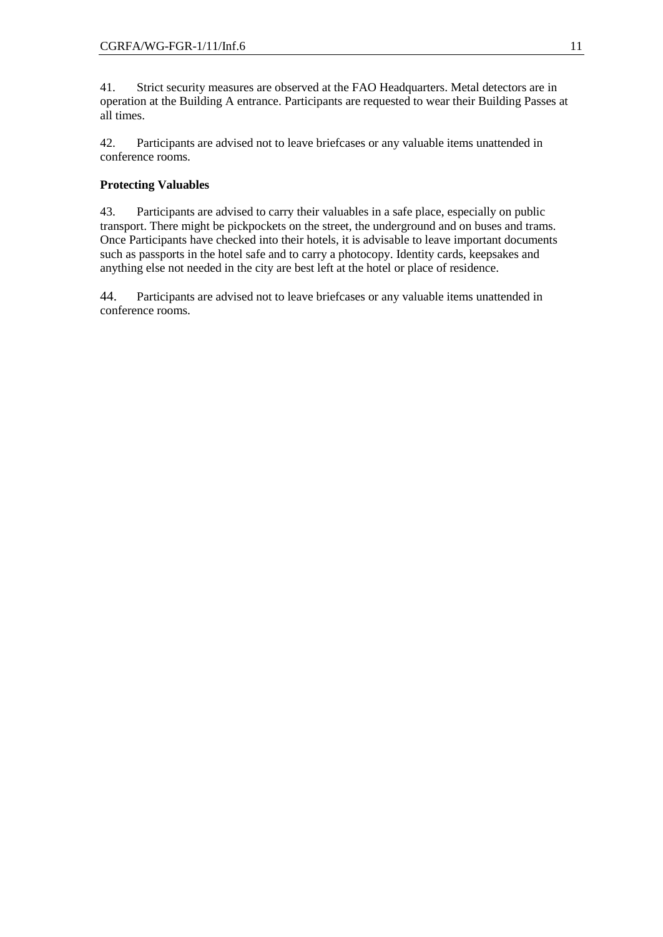41. Strict security measures are observed at the FAO Headquarters. Metal detectors are in operation at the Building A entrance. Participants are requested to wear their Building Passes at all times.

42. Participants are advised not to leave briefcases or any valuable items unattended in conference rooms.

# **Protecting Valuables**

43. Participants are advised to carry their valuables in a safe place, especially on public transport. There might be pickpockets on the street, the underground and on buses and trams. Once Participants have checked into their hotels, it is advisable to leave important documents such as passports in the hotel safe and to carry a photocopy. Identity cards, keepsakes and anything else not needed in the city are best left at the hotel or place of residence.

44. Participants are advised not to leave briefcases or any valuable items unattended in conference rooms.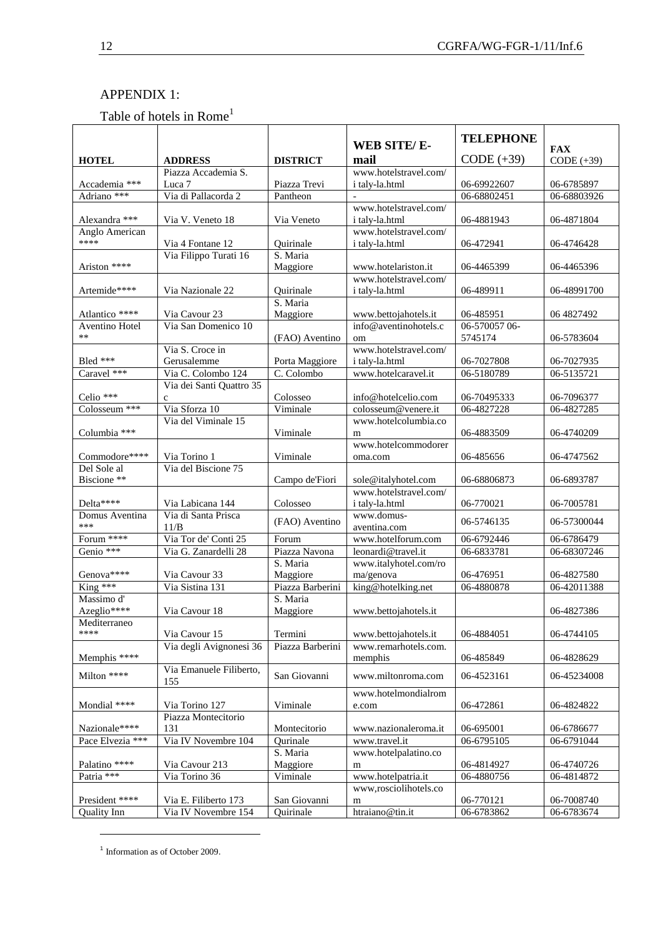# APPENDIX 1:

Table of hotels in Rome<sup>1</sup>

|                             |                                                |                             | <b>WEB SITE/E-</b>                           | <b>TELEPHONE</b>         |                            |
|-----------------------------|------------------------------------------------|-----------------------------|----------------------------------------------|--------------------------|----------------------------|
| <b>HOTEL</b>                | <b>ADDRESS</b>                                 | <b>DISTRICT</b>             | mail                                         | $CODE (+39)$             | <b>FAX</b><br>$CODE (+39)$ |
|                             | Piazza Accademia S.                            |                             | www.hotelstravel.com/                        |                          |                            |
| Accademia ***               | Luca 7                                         | Piazza Trevi                | i taly-la.html                               | 06-69922607              | 06-6785897                 |
| Adriano ***                 | Via di Pallacorda 2                            | Pantheon                    |                                              | 06-68802451              | 06-68803926                |
|                             |                                                |                             | www.hotelstravel.com/                        |                          |                            |
| Alexandra ***               | Via V. Veneto 18                               | Via Veneto                  | i taly-la.html                               | 06-4881943               | 06-4871804                 |
| Anglo American<br>****      |                                                |                             | www.hotelstravel.com/                        |                          |                            |
|                             | Via 4 Fontane 12<br>Via Filippo Turati 16      | Quirinale<br>S. Maria       | i taly-la.html                               | 06-472941                | 06-4746428                 |
| Ariston ****                |                                                | Maggiore                    | www.hotelariston.it                          | 06-4465399               | 06-4465396                 |
|                             |                                                |                             | www.hotelstravel.com/                        |                          |                            |
| Artemide****                | Via Nazionale 22                               | Quirinale                   | i taly-la.html                               | 06-489911                | 06-48991700                |
|                             |                                                | S. Maria                    |                                              |                          |                            |
| Atlantico ****              | Via Cavour 23                                  | Maggiore                    | www.bettojahotels.it                         | 06-485951                | 06 4827492                 |
| Aventino Hotel              | Via San Domenico 10                            |                             | info@aventinohotels.c                        | 06-570057 06-            |                            |
| $***$                       |                                                | (FAO) Aventino              | om                                           | 5745174                  | 06-5783604                 |
|                             | Via S. Croce in                                |                             | www.hotelstravel.com/                        |                          |                            |
| Bled ***                    | Gerusalemme                                    | Porta Maggiore              | i taly-la.html                               | 06-7027808               | 06-7027935                 |
| Caravel ***                 | Via C. Colombo 124<br>Via dei Santi Quattro 35 | C. Colombo                  | www.hotelcaravel.it                          | 06-5180789               | 06-5135721                 |
| Celio ***                   | $\mathbf{C}$                                   | Colosseo                    | info@hotelcelio.com                          | 06-70495333              | 06-7096377                 |
| Colosseum ***               | Via Sforza 10                                  | Viminale                    | colosseum@venere.it                          | 06-4827228               | 06-4827285                 |
|                             | Via del Viminale 15                            |                             | www.hotelcolumbia.co                         |                          |                            |
| Columbia ***                |                                                | Viminale                    | m                                            | 06-4883509               | 06-4740209                 |
|                             |                                                |                             | www.hotelcommodorer                          |                          |                            |
| Commodore****               | Via Torino 1                                   | Viminale                    | oma.com                                      | 06-485656                | 06-4747562                 |
| Del Sole al                 | Via del Biscione 75                            |                             |                                              |                          |                            |
| Biscione **                 |                                                | Campo de'Fiori              | sole@italyhotel.com                          | 06-68806873              | 06-6893787                 |
|                             |                                                |                             | www.hotelstravel.com/                        |                          |                            |
| Delta****<br>Domus Aventina | Via Labicana 144<br>Via di Santa Prisca        | Colosseo                    | i taly-la.html<br>www.domus-                 | 06-770021                | 06-7005781                 |
| ***                         | 11/B                                           | (FAO) Aventino              | aventina.com                                 | 06-5746135               | 06-57300044                |
| Forum ****                  | Via Tor de' Conti 25                           | Forum                       | www.hotelforum.com                           | 06-6792446               | 06-6786479                 |
| Genio ***                   | Via G. Zanardelli 28                           | Piazza Navona               | leonardi@travel.it                           | 06-6833781               | 06-68307246                |
|                             |                                                | S. Maria                    | www.italyhotel.com/ro                        |                          |                            |
| Genova****                  | Via Cavour 33                                  | Maggiore                    | ma/genova                                    | 06-476951                | 06-4827580                 |
| King ***                    | Via Sistina 131                                | Piazza Barberini            | king@hotelking.net                           | 06-4880878               | 06-42011388                |
| Massimo d'                  |                                                | S. Maria                    |                                              |                          |                            |
| Azeglio****                 | Via Cavour 18                                  | Maggiore                    | www.bettojahotels.it                         |                          | 06-4827386                 |
| Mediterraneo<br>****        |                                                |                             |                                              |                          |                            |
|                             | Via Cavour 15<br>Via degli Avignonesi 36       | Termini<br>Piazza Barberini | www.bettojahotels.it<br>www.remarhotels.com. | 06-4884051               | 06-4744105                 |
| Memphis ****                |                                                |                             | memphis                                      | 06-485849                | 06-4828629                 |
|                             | Via Emanuele Filiberto,                        |                             |                                              |                          |                            |
| Milton ****                 | 155                                            | San Giovanni                | www.miltonroma.com                           | 06-4523161               | 06-45234008                |
|                             |                                                |                             | www.hotelmondialrom                          |                          |                            |
| Mondial ****                | Via Torino 127                                 | Viminale                    | e.com                                        | 06-472861                | 06-4824822                 |
|                             | Piazza Montecitorio                            |                             |                                              |                          |                            |
| Nazionale****               | 131                                            | Montecitorio                | www.nazionaleroma.it                         | 06-695001                | 06-6786677                 |
| Pace Elvezia ***            | Via IV Novembre 104                            | Qurinale                    | www.travel.it                                | 06-6795105               | 06-6791044                 |
|                             |                                                | S. Maria                    | www.hotelpalatino.co                         |                          |                            |
| Palatino ****<br>Patria *** | Via Cavour 213<br>Via Torino 36                | Maggiore                    | m<br>www.hotelpatria.it                      | 06-4814927<br>06-4880756 | 06-4740726<br>06-4814872   |
|                             |                                                | Viminale                    | www,rosciolihotels.co                        |                          |                            |
| President ****              | Via E. Filiberto 173                           | San Giovanni                | m                                            | 06-770121                | 06-7008740                 |
| <b>Quality Inn</b>          | Via IV Novembre 154                            | Quirinale                   | htraiano@tin.it                              | 06-6783862               | 06-6783674                 |

<sup>1</sup> Information as of October 2009.

-